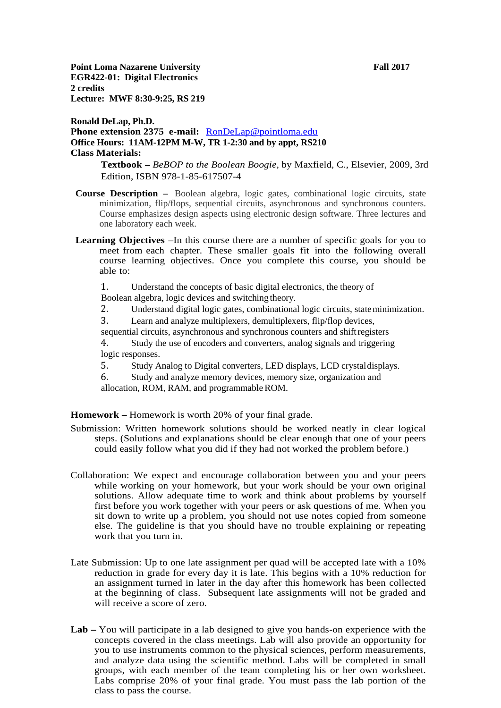**Point Loma Nazarene University <b>Fall 2017 Fall 2017 EGR422-01: Digital Electronics 2 credits Lecture: MWF 8:30-9:25, RS 219**

## **Ronald DeLap, Ph.D. Phone extension 2375 e-mail:** [RonDeLap@pointloma.edu](mailto:RonDeLap@pointloma.edu) **Office Hours: 11AM-12PM M-W, TR 1-2:30 and by appt, RS210 Class Materials:**

**Textbook –** *BeBOP to the Boolean Boogie,* by Maxfield, C., Elsevier, 2009, 3rd Edition, ISBN 978-1-85-617507-4

- **Course Description –** Boolean algebra, logic gates, combinational logic circuits, state minimization, flip/flops, sequential circuits, asynchronous and synchronous counters. Course emphasizes design aspects using electronic design software. Three lectures and one laboratory each week.
- **Learning Objectives –**In this course there are a number of specific goals for you to meet from each chapter. These smaller goals fit into the following overall course learning objectives. Once you complete this course, you should be able to:
	- 1. Understand the concepts of basic digital electronics, the theory of Boolean algebra, logic devices and switching theory.
	- 2. Understand digital logic gates, combinational logic circuits, stateminimization.<br>3. Learn and analyze multiplexers, demultiplexers, flip/flop devices.
	- Learn and analyze multiplexers, demultiplexers, flip/flop devices,

sequential circuits, asynchronous and synchronous counters and shiftregisters 4. Study the use of encoders and converters, analog signals and triggering logic responses.

5. Study Analog to Digital converters, LED displays, LCD crystal displays.<br>6. Study and analyze memory devices, memory size, organization and

Study and analyze memory devices, memory size, organization and allocation, ROM, RAM, and programmable ROM.

**Homework –** Homework is worth 20% of your final grade.

- Submission: Written homework solutions should be worked neatly in clear logical steps. (Solutions and explanations should be clear enough that one of your peers could easily follow what you did if they had not worked the problem before.)
- Collaboration: We expect and encourage collaboration between you and your peers while working on your homework, but your work should be your own original solutions. Allow adequate time to work and think about problems by yourself first before you work together with your peers or ask questions of me. When you sit down to write up a problem, you should not use notes copied from someone else. The guideline is that you should have no trouble explaining or repeating work that you turn in.
- Late Submission: Up to one late assignment per quad will be accepted late with a 10% reduction in grade for every day it is late. This begins with a 10% reduction for an assignment turned in later in the day after this homework has been collected at the beginning of class. Subsequent late assignments will not be graded and will receive a score of zero.
- **Lab –** You will participate in a lab designed to give you hands-on experience with the concepts covered in the class meetings. Lab will also provide an opportunity for you to use instruments common to the physical sciences, perform measurements, and analyze data using the scientific method. Labs will be completed in small groups, with each member of the team completing his or her own worksheet. Labs comprise 20% of your final grade. You must pass the lab portion of the class to pass the course.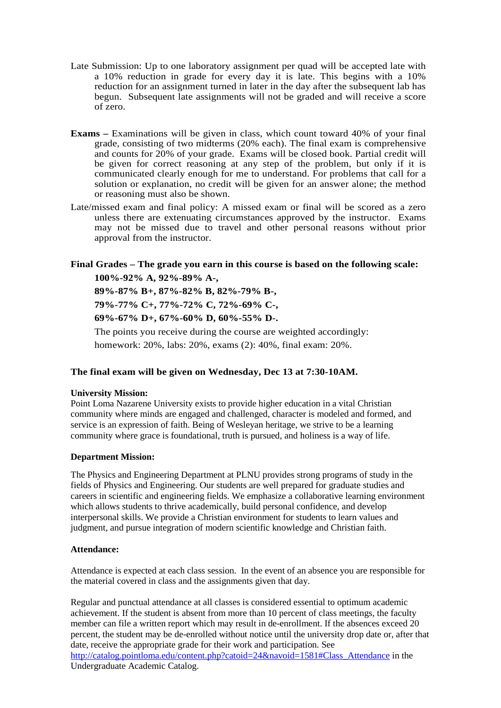- Late Submission: Up to one laboratory assignment per quad will be accepted late with a 10% reduction in grade for every day it is late. This begins with a 10% reduction for an assignment turned in later in the day after the subsequent lab has begun. Subsequent late assignments will not be graded and will receive a score of zero.
- **Exams –** Examinations will be given in class, which count toward 40% of your final grade, consisting of two midterms (20% each). The final exam is comprehensive and counts for 20% of your grade. Exams will be closed book. Partial credit will be given for correct reasoning at any step of the problem, but only if it is communicated clearly enough for me to understand. For problems that call for a solution or explanation, no credit will be given for an answer alone; the method or reasoning must also be shown.
- Late/missed exam and final policy: A missed exam or final will be scored as a zero unless there are extenuating circumstances approved by the instructor. Exams may not be missed due to travel and other personal reasons without prior approval from the instructor.

# **Final Grades – The grade you earn in this course is based on the following scale:**

**100%-92% A, 92%-89% A-,** 

**89%-87% B+, 87%-82% B, 82%-79% B-,**

**79%-77% C+, 77%-72% C, 72%-69% C-,** 

**69%-67% D+, 67%-60% D, 60%-55% D-.**

The points you receive during the course are weighted accordingly:

homework: 20%, labs: 20%, exams (2): 40%, final exam: 20%.

### **The final exam will be given on Wednesday, Dec 13 at 7:30-10AM.**

#### **University Mission:**

Point Loma Nazarene University exists to provide higher education in a vital Christian community where minds are engaged and challenged, character is modeled and formed, and service is an expression of faith. Being of Wesleyan heritage, we strive to be a learning community where grace is foundational, truth is pursued, and holiness is a way of life.

#### **Department Mission:**

The Physics and Engineering Department at PLNU provides strong programs of study in the fields of Physics and Engineering. Our students are well prepared for graduate studies and careers in scientific and engineering fields. We emphasize a collaborative learning environment which allows students to thrive academically, build personal confidence, and develop interpersonal skills. We provide a Christian environment for students to learn values and judgment, and pursue integration of modern scientific knowledge and Christian faith.

#### **Attendance:**

Attendance is expected at each class session. In the event of an absence you are responsible for the material covered in class and the assignments given that day.

Regular and punctual attendance at all classes is considered essential to optimum academic achievement. If the student is absent from more than 10 percent of class meetings, the faculty member can file a written report which may result in de-enrollment. If the absences exceed 20 percent, the student may be de-enrolled without notice until the university drop date or, after that date, receive the appropriate grade for their work and participation. See [http://catalog.pointloma.edu/content.php?catoid=24&navoid=1581#Class\\_Attendance](http://catalog.pointloma.edu/content.php?catoid=24&navoid=1581#Class_Attendance) in the Undergraduate Academic Catalog.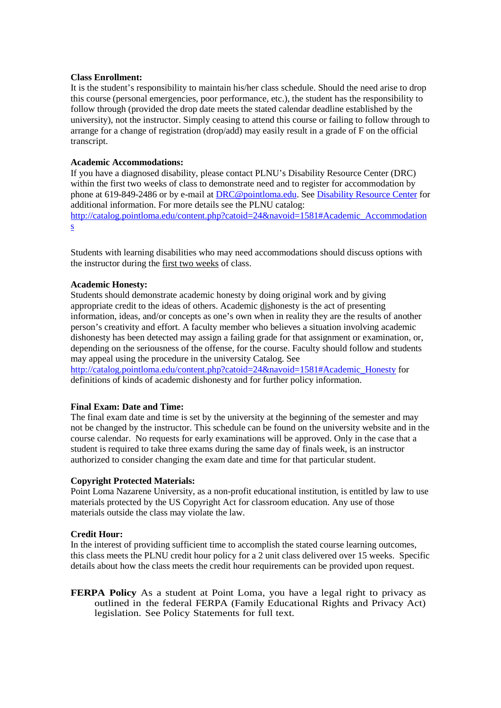#### **Class Enrollment:**

It is the student's responsibility to maintain his/her class schedule. Should the need arise to drop this course (personal emergencies, poor performance, etc.), the student has the responsibility to follow through (provided the drop date meets the stated calendar deadline established by the university), not the instructor. Simply ceasing to attend this course or failing to follow through to arrange for a change of registration (drop/add) may easily result in a grade of F on the official transcript.

#### **Academic Accommodations:**

If you have a diagnosed disability, please contact PLNU's Disability Resource Center (DRC) within the first two weeks of class to demonstrate need and to register for accommodation by phone at 619-849-2486 or by e-mail at [DRC@pointloma.edu.](mailto:DRC@pointloma.edu) Se[e Disability Resource Center](http://www.pointloma.edu/experience/offices/administrative-offices/academic-advising-office/disability-resource-center) for additional information. For more details see the PLNU catalog: [http://catalog.pointloma.edu/content.php?catoid=24&navoid=1581#Academic\\_Accommodation](http://catalog.pointloma.edu/content.php?catoid=24&navoid=1581#Academic_Accommodations) [s](http://catalog.pointloma.edu/content.php?catoid=24&navoid=1581#Academic_Accommodations) 

Students with learning disabilities who may need accommodations should discuss options with the instructor during the first two weeks of class.

#### **Academic Honesty:**

Students should demonstrate academic honesty by doing original work and by giving appropriate credit to the ideas of others. Academic dishonesty is the act of presenting information, ideas, and/or concepts as one's own when in reality they are the results of another person's creativity and effort. A faculty member who believes a situation involving academic dishonesty has been detected may assign a failing grade for that assignment or examination, or, depending on the seriousness of the offense, for the course. Faculty should follow and students may appeal using the procedure in the university Catalog. See

[http://catalog.pointloma.edu/content.php?catoid=24&navoid=1581#Academic\\_Honesty](http://catalog.pointloma.edu/content.php?catoid=24&navoid=1581#Academic_Honesty) for definitions of kinds of academic dishonesty and for further policy information.

#### **Final Exam: Date and Time:**

The final exam date and time is set by the university at the beginning of the semester and may not be changed by the instructor. This schedule can be found on the university website and in the course calendar. No requests for early examinations will be approved. Only in the case that a student is required to take three exams during the same day of finals week, is an instructor authorized to consider changing the exam date and time for that particular student.

#### **Copyright Protected Materials:**

Point Loma Nazarene University, as a non-profit educational institution, is entitled by law to use materials protected by the US Copyright Act for classroom education. Any use of those materials outside the class may violate the law.

#### **Credit Hour:**

In the interest of providing sufficient time to accomplish the stated course learning outcomes, this class meets the PLNU credit hour policy for a 2 unit class delivered over 15 weeks. Specific details about how the class meets the credit hour requirements can be provided upon request.

**FERPA Policy** As a student at Point Loma, you have a legal right to privacy as outlined in the federal FERPA (Family Educational Rights and Privacy Act) legislation. See Policy Statements for full text.